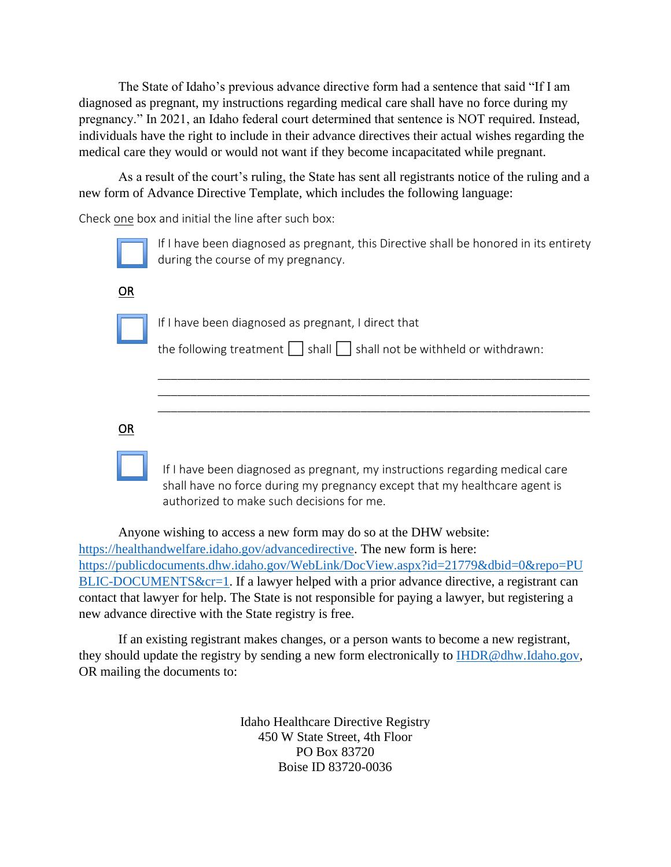The State of Idaho's previous advance directive form had a sentence that said "If I am diagnosed as pregnant, my instructions regarding medical care shall have no force during my pregnancy." In 2021, an Idaho federal court determined that sentence is NOT required. Instead, individuals have the right to include in their advance directives their actual wishes regarding the medical care they would or would not want if they become incapacitated while pregnant.

As a result of the court's ruling, the State has sent all registrants notice of the ruling and a new form of Advance Directive Template, which includes the following language:

Check one box and initial the line after such box:

|           | If I have been diagnosed as pregnant, this Directive shall be honored in its entirety<br>during the course of my pregnancy.                                                                             |
|-----------|---------------------------------------------------------------------------------------------------------------------------------------------------------------------------------------------------------|
| OR        |                                                                                                                                                                                                         |
|           | If I have been diagnosed as pregnant, I direct that<br>the following treatment $\vert \cdot \vert$ shall $\vert \cdot \vert$ shall not be withheld or withdrawn:                                        |
| <b>OR</b> |                                                                                                                                                                                                         |
|           | If I have been diagnosed as pregnant, my instructions regarding medical care<br>shall have no force during my pregnancy except that my healthcare agent is<br>authorized to make such decisions for me. |

Anyone wishing to access a new form may do so at the DHW website: [https://healthandwelfare.idaho.gov/advancedirective.](https://healthandwelfare.idaho.gov/advancedirective) The new form is here: [https://publicdocuments.dhw.idaho.gov/WebLink/DocView.aspx?id=21779&dbid=0&repo=PU](https://publicdocuments.dhw.idaho.gov/WebLink/DocView.aspx?id=21779&dbid=0&repo=PUBLIC-DOCUMENTS&cr=1) [BLIC-DOCUMENTS&cr=1.](https://publicdocuments.dhw.idaho.gov/WebLink/DocView.aspx?id=21779&dbid=0&repo=PUBLIC-DOCUMENTS&cr=1) If a lawyer helped with a prior advance directive, a registrant can contact that lawyer for help. The State is not responsible for paying a lawyer, but registering a new advance directive with the State registry is free.

If an existing registrant makes changes, or a person wants to become a new registrant, they should update the registry by sending a new form electronically to **IHDR**@dhw.Idaho.gov, OR mailing the documents to:

> Idaho Healthcare Directive Registry 450 W State Street, 4th Floor PO Box 83720 Boise ID 83720-0036